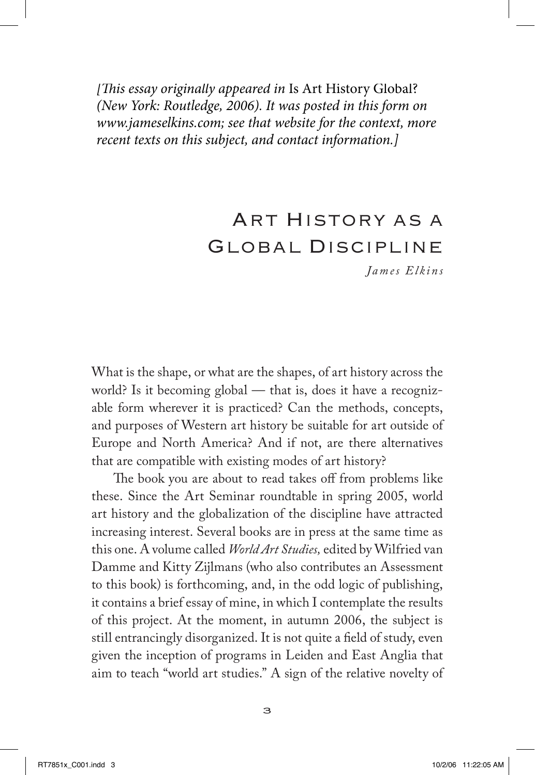[This essay originally appeared in Is Art History Global?] (New York: Routledge, 2006). It was posted in this form on www.jameselkins.com; see that website for the context, more recent texts on this subject, and contact information.]

# Art History as a Global Discipline

*J a m e s E l k i n s*

What is the shape, or what are the shapes, of art history across the world? Is it becoming global — that is, does it have a recognizable form wherever it is practiced? Can the methods, concepts, and purposes of Western art history be suitable for art outside of Europe and North America? And if not, are there alternatives that are compatible with existing modes of art history?

The book you are about to read takes off from problems like these. Since the Art Seminar roundtable in spring 2005, world art history and the globalization of the discipline have attracted increasing interest. Several books are in press at the same time as this one. A volume called *World Art Studies,* edited by Wilfried van Damme and Kitty Zijlmans (who also contributes an Assessment to this book) is forthcoming, and, in the odd logic of publishing, it contains a brief essay of mine, in which I contemplate the results of this project. At the moment, in autumn 2006, the subject is still entrancingly disorganized. It is not quite a field of study, even given the inception of programs in Leiden and East Anglia that aim to teach "world art studies." A sign of the relative novelty of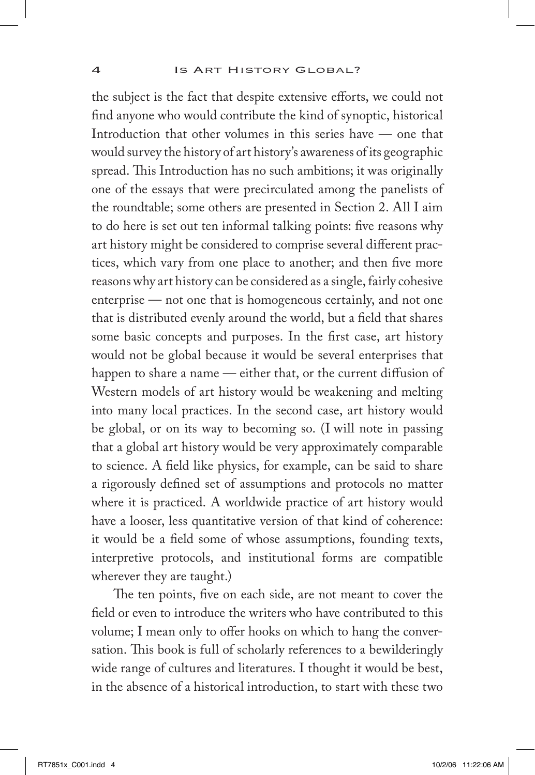the subject is the fact that despite extensive efforts, we could not find anyone who would contribute the kind of synoptic, historical Introduction that other volumes in this series have — one that would survey the history of art history's awareness of its geographic spread. This Introduction has no such ambitions; it was originally one of the essays that were precirculated among the panelists of the roundtable; some others are presented in Section 2. All I aim to do here is set out ten informal talking points: five reasons why art history might be considered to comprise several different practices, which vary from one place to another; and then five more reasons why art history can be considered as a single, fairly cohesive enterprise — not one that is homogeneous certainly, and not one that is distributed evenly around the world, but a field that shares some basic concepts and purposes. In the first case, art history would not be global because it would be several enterprises that happen to share a name — either that, or the current diffusion of Western models of art history would be weakening and melting into many local practices. In the second case, art history would be global, or on its way to becoming so. (I will note in passing that a global art history would be very approximately comparable to science. A field like physics, for example, can be said to share a rigorously defined set of assumptions and protocols no matter where it is practiced. A worldwide practice of art history would have a looser, less quantitative version of that kind of coherence: it would be a field some of whose assumptions, founding texts, interpretive protocols, and institutional forms are compatible wherever they are taught.)

The ten points, five on each side, are not meant to cover the field or even to introduce the writers who have contributed to this volume; I mean only to offer hooks on which to hang the conversation. This book is full of scholarly references to a bewilderingly wide range of cultures and literatures. I thought it would be best, in the absence of a historical introduction, to start with these two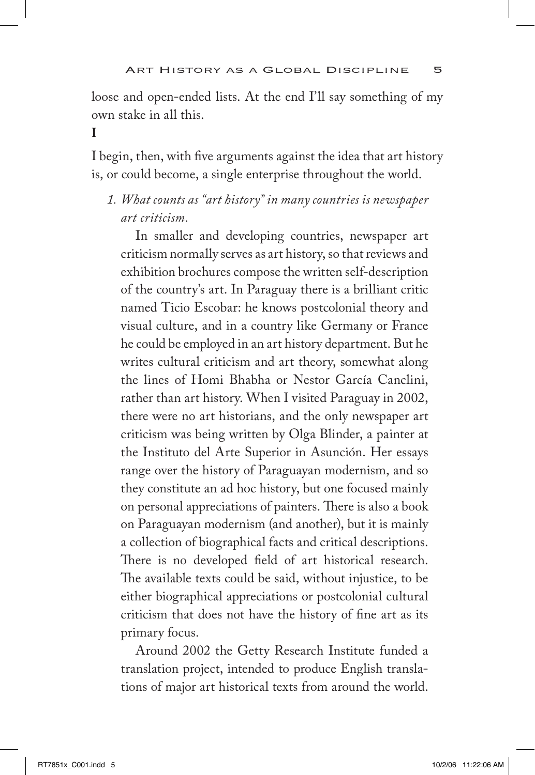loose and open-ended lists. At the end I'll say something of my own stake in all this.

**I**

I begin, then, with five arguments against the idea that art history is, or could become, a single enterprise throughout the world.

*1. What counts as "art history" in many countries is newspaper art criticism.*

 In smaller and developing countries, newspaper art criticism normally serves as art history, so that reviews and exhibition brochures compose the written self-description of the country's art. In Paraguay there is a brilliant critic named Ticio Escobar: he knows postcolonial theory and visual culture, and in a country like Germany or France he could be employed in an art history department. But he writes cultural criticism and art theory, somewhat along the lines of Homi Bhabha or Nestor García Canclini, rather than art history. When I visited Paraguay in 2002, there were no art historians, and the only newspaper art criticism was being written by Olga Blinder, a painter at the Instituto del Arte Superior in Asunción. Her essays range over the history of Paraguayan modernism, and so they constitute an ad hoc history, but one focused mainly on personal appreciations of painters. There is also a book on Paraguayan modernism (and another), but it is mainly a collection of biographical facts and critical descriptions. There is no developed field of art historical research. The available texts could be said, without injustice, to be either biographical appreciations or postcolonial cultural criticism that does not have the history of fine art as its primary focus.

 Around 2002 the Getty Research Institute funded a translation project, intended to produce English translations of major art historical texts from around the world.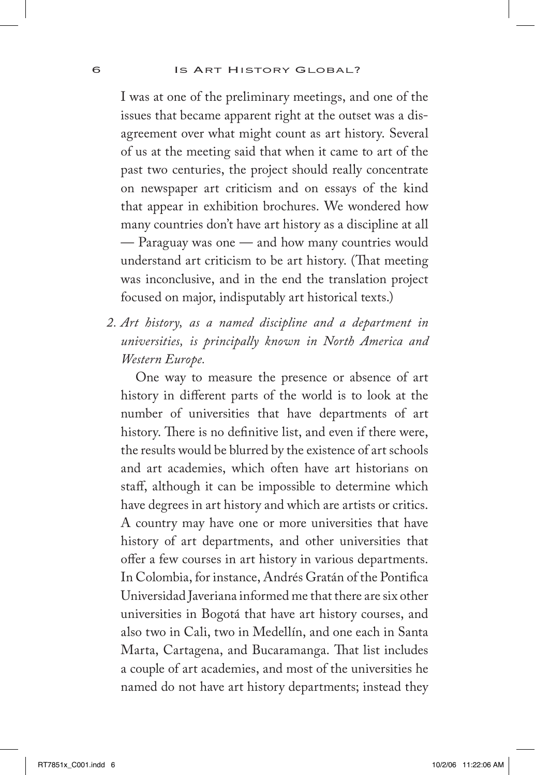I was at one of the preliminary meetings, and one of the issues that became apparent right at the outset was a disagreement over what might count as art history. Several of us at the meeting said that when it came to art of the past two centuries, the project should really concentrate on newspaper art criticism and on essays of the kind that appear in exhibition brochures. We wondered how many countries don't have art history as a discipline at all — Paraguay was one — and how many countries would understand art criticism to be art history. (That meeting was inconclusive, and in the end the translation project focused on major, indisputably art historical texts.)

*2. Art history, as a named discipline and a department in universities, is principally known in North America and Western Europe.*

 One way to measure the presence or absence of art history in different parts of the world is to look at the number of universities that have departments of art history. There is no definitive list, and even if there were, the results would be blurred by the existence of art schools and art academies, which often have art historians on staff, although it can be impossible to determine which have degrees in art history and which are artists or critics. A country may have one or more universities that have history of art departments, and other universities that offer a few courses in art history in various departments. In Colombia, for instance, Andrés Gratán of the Pontifica Universidad Javeriana informed me that there are six other universities in Bogotá that have art history courses, and also two in Cali, two in Medellín, and one each in Santa Marta, Cartagena, and Bucaramanga. That list includes a couple of art academies, and most of the universities he named do not have art history departments; instead they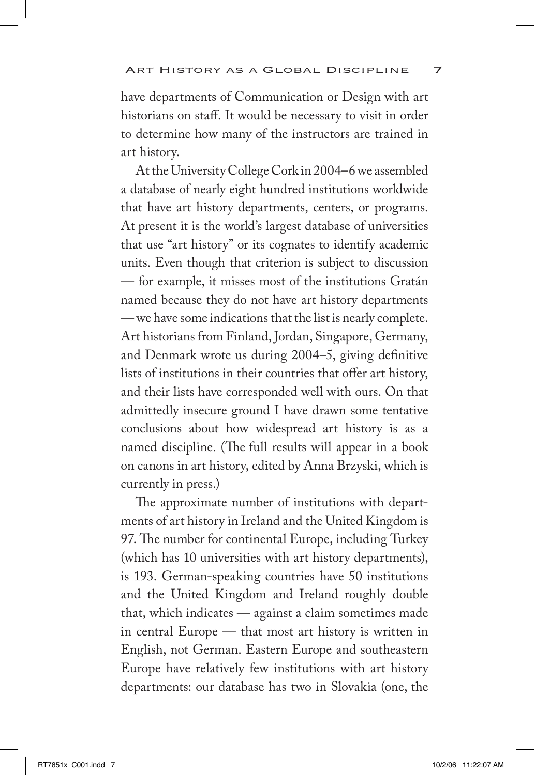have departments of Communication or Design with art historians on staff. It would be necessary to visit in order to determine how many of the instructors are trained in art history.

 At the University College Cork in 2004–6 we assembled a database of nearly eight hundred institutions worldwide that have art history departments, centers, or programs. At present it is the world's largest database of universities that use "art history" or its cognates to identify academic units. Even though that criterion is subject to discussion — for example, it misses most of the institutions Gratán named because they do not have art history departments — we have some indications that the list is nearly complete. Art historians from Finland, Jordan, Singapore, Germany, and Denmark wrote us during 2004–5, giving definitive lists of institutions in their countries that offer art history, and their lists have corresponded well with ours. On that admittedly insecure ground I have drawn some tentative conclusions about how widespread art history is as a named discipline. (The full results will appear in a book on canons in art history, edited by Anna Brzyski, which is currently in press.)

 The approximate number of institutions with departments of art history in Ireland and the United Kingdom is 97. The number for continental Europe, including Turkey (which has 10 universities with art history departments), is 193. German-speaking countries have 50 institutionsand the United Kingdom and Ireland roughly double that, which indicates — against a claim sometimes made in central Europe — that most art history is written in English, not German. Eastern Europe and southeastern Europe have relatively few institutions with art history departments: our database has two in Slovakia (one, the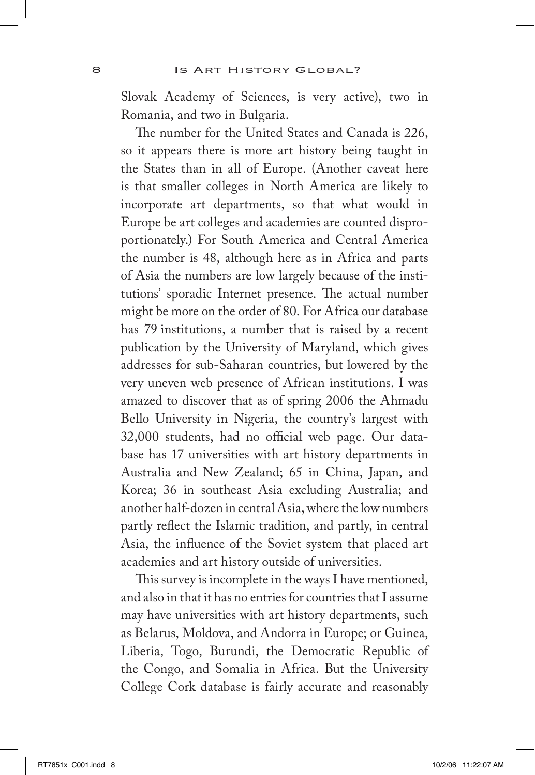Slovak Academy of Sciences, is very active), two in Romania, and two in Bulgaria.

 The number for the United States and Canada is 226, so it appears there is more art history being taught in the States than in all of Europe. (Another caveat here is that smaller colleges in North America are likely to incorporate art departments, so that what would in Europe be art colleges and academies are counted disproportionately.) For South America and Central America the number is 48, although here as in Africa and parts of Asia the numbers are low largely because of the institutions' sporadic Internet presence. The actual number might be more on the order of 80. For Africa our database has 79 institutions, a number that is raised by a recent publication by the University of Maryland, which gives addresses for sub-Saharan countries, but lowered by the very uneven web presence of African institutions. I was amazed to discover that as of spring 2006 the Ahmadu Bello University in Nigeria, the country's largest with 32,000 students, had no official web page. Our database has 17 universities with art history departments in Australia and New Zealand; 65 in China, Japan, and Korea; 36 in southeast Asia excluding Australia; and another half-dozen in central Asia, where the low numbers partly reflect the Islamic tradition, and partly, in central Asia, the influence of the Soviet system that placed art academies and art history outside of universities.

 This survey is incomplete in the ways I have mentioned, and also in that it has no entries for countries that I assume may have universities with art history departments, such as Belarus, Moldova, and Andorra in Europe; or Guinea, Liberia, Togo, Burundi, the Democratic Republic of the Congo, and Somalia in Africa. But the University College Cork database is fairly accurate and reasonably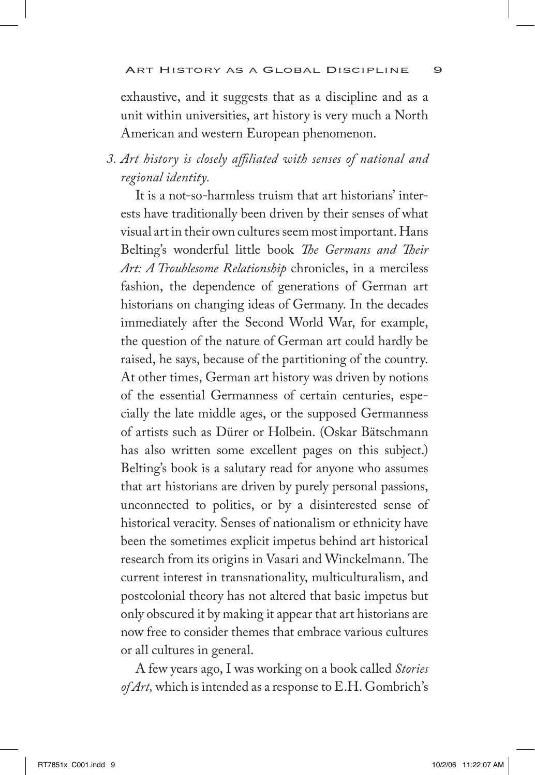exhaustive, and it suggests that as a discipline and as a unit within universities, art history is very much a North American and western European phenomenon.

# *3. Art history is closely affiliated with senses of national and regional identity.*

 It is a not-so-harmless truism that art historians' interests have traditionally been driven by their senses of what visual art in their own cultures seem most important. Hans Belting's wonderful little book *The Germans and Their Art: A Troublesome Relationship* chronicles, in a merciless fashion, the dependence of generations of German art historians on changing ideas of Germany. In the decades immediately after the Second World War, for example, the question of the nature of German art could hardly be raised, he says, because of the partitioning of the country. At other times, German art history was driven by notions of the essential Germanness of certain centuries, especially the late middle ages, or the supposed Germanness of artists such as Dürer or Holbein. (Oskar Bätschmann has also written some excellent pages on this subject.) Belting's book is a salutary read for anyone who assumes that art historians are driven by purely personal passions, unconnected to politics, or by a disinterested sense of historical veracity. Senses of nationalism or ethnicity have been the sometimes explicit impetus behind art historical research from its origins in Vasari and Winckelmann. The current interest in transnationality, multiculturalism, and postcolonial theory has not altered that basic impetus but only obscured it by making it appear that art historians are now free to consider themes that embrace various cultures or all cultures in general.

 A few years ago, I was working on a book called *Stories of Art,* which is intended as a response to E.H. Gombrich's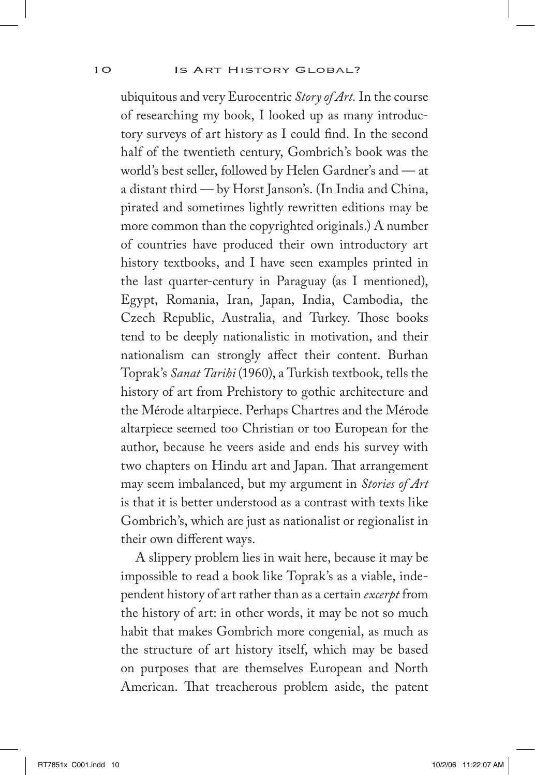#### 10 Is Art History Global?

ubiquitous and very Eurocentric *Story of Art.* In the course of researching my book, I looked up as many introductory surveys of art history as I could find. In the second half of the twentieth century, Gombrich's book was the world's best seller, followed by Helen Gardner's and — at a distant third — by Horst Janson's. (In India and China, pirated and sometimes lightly rewritten editions may be more common than the copyrighted originals.) A number of countries have produced their own introductory art history textbooks, and I have seen examples printed in the last quarter-century in Paraguay (as I mentioned), Egypt, Romania, Iran, Japan, India, Cambodia, the Czech Republic, Australia, and Turkey. Those books tend to be deeply nationalistic in motivation, and their nationalism can strongly affect their content. Burhan Toprak's *Sanat Tarihi* (1960), a Turkish textbook, tells the history of art from Prehistory to gothic architecture and the Mérode altarpiece. Perhaps Chartres and the Mérode altarpiece seemed too Christian or too European for the author, because he veers aside and ends his survey with two chapters on Hindu art and Japan. That arrangement may seem imbalanced, but my argument in *Stories of Art* is that it is better understood as a contrast with texts like Gombrich's, which are just as nationalist or regionalist in their own different ways.

 A slippery problem lies in wait here, because it may be impossible to read a book like Toprak's as a viable, independent history of art rather than as a certain *excerpt* from the history of art: in other words, it may be not so much habit that makes Gombrich more congenial, as much as the structure of art history itself, which may be based on purposes that are themselves European and North American. That treacherous problem aside, the patent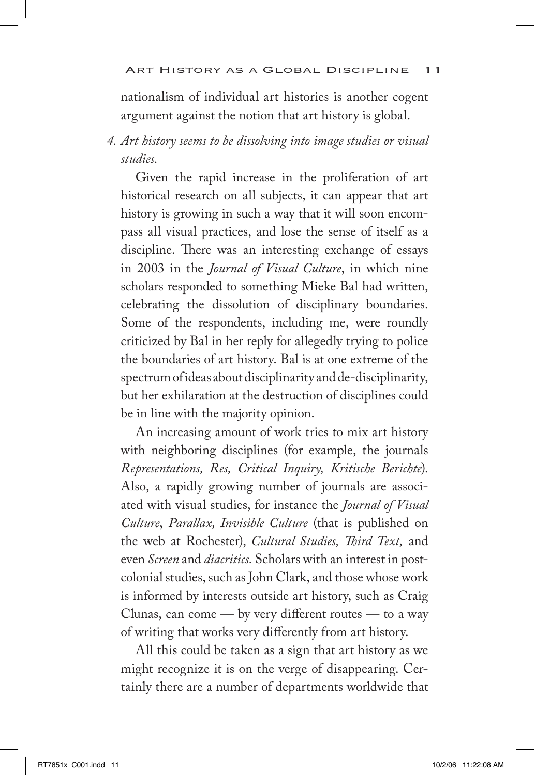nationalism of individual art histories is another cogent argument against the notion that art history is global.

*4. Art history seems to be dissolving into image studies or visual studies.*

 Given the rapid increase in the proliferation of art historical research on all subjects, it can appear that art history is growing in such a way that it will soon encompass all visual practices, and lose the sense of itself as a discipline. There was an interesting exchange of essays in 2003 in the *Journal of Visual Culture*, in which nine scholars responded to something Mieke Bal had written, celebrating the dissolution of disciplinary boundaries. Some of the respondents, including me, were roundly criticized by Bal in her reply for allegedly trying to police the boundaries of art history. Bal is at one extreme of the spectrum of ideas about disciplinarity and de-disciplinarity, but her exhilaration at the destruction of disciplines could be in line with the majority opinion.

 An increasing amount of work tries to mix art history with neighboring disciplines (for example, the journals *Representations, Res, Critical Inquiry, Kritische Berichte*). Also, a rapidly growing number of journals are associated with visual studies, for instance the *Journal of Visual Culture*, *Parallax, Invisible Culture* (that is published on the web at Rochester), *Cultural Studies, Third Text,* and even *Screen* and *diacritics.* Scholars with an interest in postcolonial studies, such as John Clark, and those whose work is informed by interests outside art history, such as Craig Clunas, can come — by very different routes — to a way of writing that works very differently from art history.

 All this could be taken as a sign that art history as we might recognize it is on the verge of disappearing. Certainly there are a number of departments worldwide that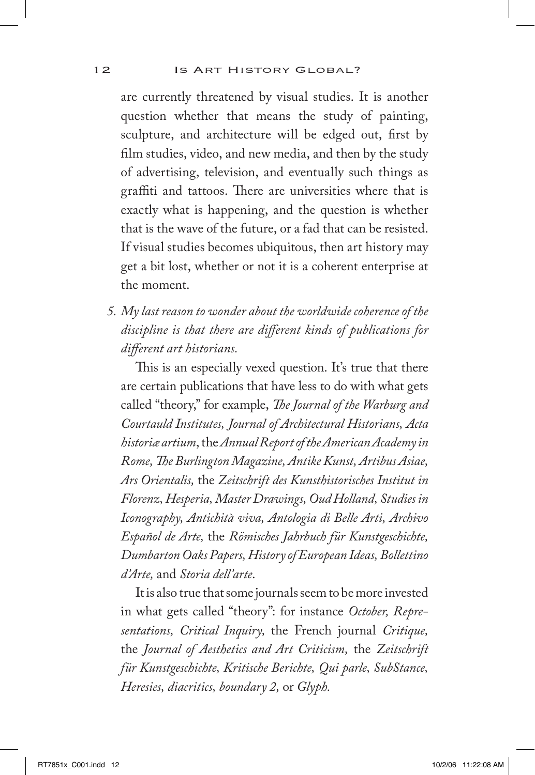#### 12 Is Art History Global?

are currently threatened by visual studies. It is another question whether that means the study of painting, sculpture, and architecture will be edged out, first by film studies, video, and new media, and then by the study of advertising, television, and eventually such things as graffiti and tattoos. There are universities where that is exactly what is happening, and the question is whether that is the wave of the future, or a fad that can be resisted. If visual studies becomes ubiquitous, then art history may get a bit lost, whether or not it is a coherent enterprise at the moment.

*5. My last reason to wonder about the worldwide coherence of the discipline is that there are different kinds of publications for different art historians.*

 This is an especially vexed question. It's true that there are certain publications that have less to do with what gets called "theory," for example, *The Journal of the Warburg and Courtauld Institutes, Journal of Architectural Historians, Acta historiæ artium*, the *Annual Report of the American Academy in Rome, The Burlington Magazine, Antike Kunst, Artibus Asiae, Ars Orientalis,* the *Zeitschrift des Kunsthistorisches Institut in Florenz, Hesperia, Master Drawings, OudHolland, Studies in Iconography, Antichità viva, Antologia di Belle Arti, Archivo Español de Arte,* the *Römisches Jahrbuch für Kunstgeschichte, Dumbarton Oaks Papers, History of European Ideas,Bollettino d'Arte,* and *Storia dell'arte*.

 It is also true that some journals seem to be more invested in what gets called "theory": for instance *October, Representations, Critical Inquiry,* the French journal *Critique,*  the *Journal of Aesthetics and Art Criticism,* the *Zeitschrift für Kunstgeschichte, Kritische Berichte, Qui parle, SubStance, Heresies, diacritics, boundary 2,* or *Glyph.*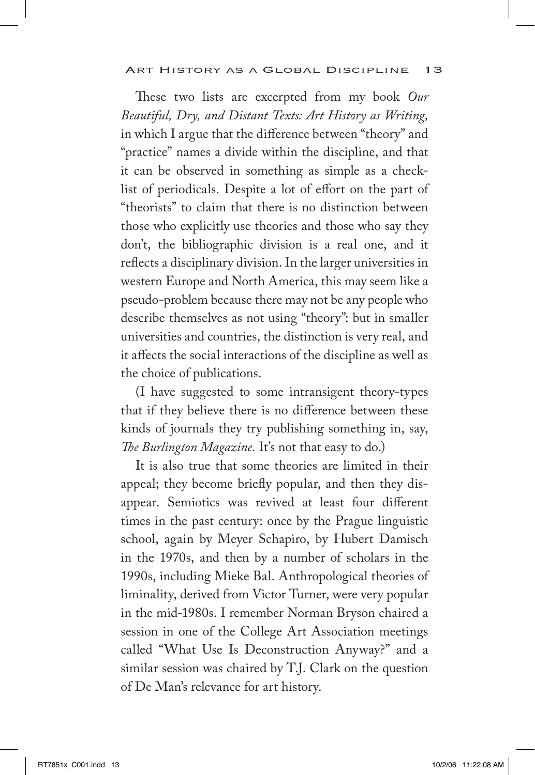#### Art History as a Global Discipline 13

 These two lists are excerpted from my book *Our Beautiful, Dry, and Distant Texts: Art History as Writing,* in which I argue that the difference between "theory" and "practice" names a divide within the discipline, and that it can be observed in something as simple as a checklist of periodicals. Despite a lot of effort on the part of "theorists" to claim that there is no distinction between those who explicitly use theories and those who say they don't, the bibliographic division is a real one, and it reflects a disciplinary division. In the larger universities in western Europe and North America, this may seem like a pseudo-problem because there may not be any people who describe themselves as not using "theory": but in smaller universities and countries, the distinction is very real, and it affects the social interactions of the discipline as well as the choice of publications.

 (I have suggested to some intransigent theory-types that if they believe there is no difference between these kinds of journals they try publishing something in, say, *The Burlington Magazine.* It's not that easy to do.)

 It is also true that some theories are limited in their appeal; they become briefly popular, and then they disappear. Semiotics was revived at least four different times in the past century: once by the Prague linguistic school, again by Meyer Schapiro, by Hubert Damisch in the 1970s, and then by a number of scholars in the 1990s, including Mieke Bal. Anthropological theories of liminality, derived from Victor Turner, were very popular in the mid-1980s. I remember Norman Bryson chaired a session in one of the College Art Association meetings called "What Use Is Deconstruction Anyway?" and a similar session was chaired by T.J. Clark on the question of De Man's relevance for art history.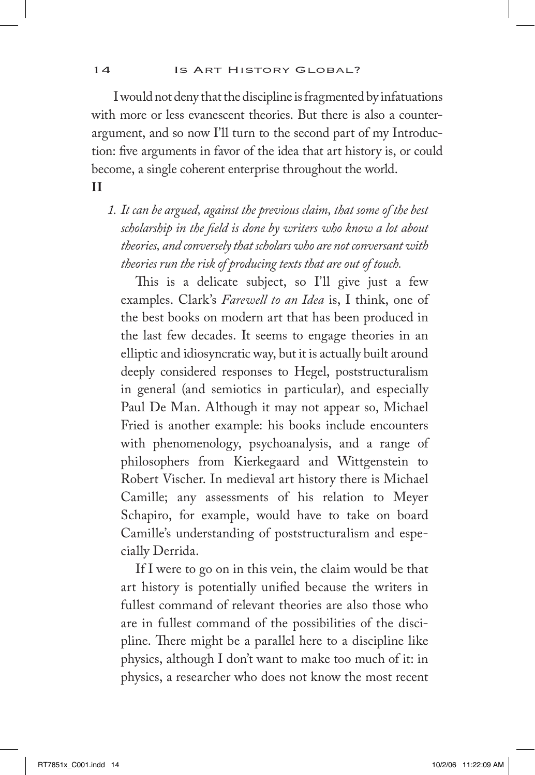I would not deny that the discipline is fragmented by infatuations with more or less evanescent theories. But there is also a counterargument, and so now I'll turn to the second part of my Introduction: five arguments in favor of the idea that art history is, or could become, a single coherent enterprise throughout the world.

# **II**

*1. It can be argued, against the previous claim, that some of the best scholarship in the field is done by writers who know a lot about theories, and conversely that scholars who are not conversant with theories run the risk of producing texts that are out of touch.*

 This is a delicate subject, so I'll give just a few examples. Clark's *Farewell to an Idea* is, I think, one of the best books on modern art that has been produced in the last few decades. It seems to engage theories in an elliptic and idiosyncratic way, but it is actually built around deeply considered responses to Hegel, poststructuralism in general (and semiotics in particular), and especially Paul De Man. Although it may not appear so, Michael Fried is another example: his books include encounters with phenomenology, psychoanalysis, and a range of philosophers from Kierkegaard and Wittgenstein to Robert Vischer. In medieval art history there is Michael Camille; any assessments of his relation to Meyer Schapiro, for example, would have to take on board Camille's understanding of poststructuralism and especially Derrida.

 If I were to go on in this vein, the claim would be that art history is potentially unified because the writers in fullest command of relevant theories are also those who are in fullest command of the possibilities of the discipline. There might be a parallel here to a discipline like physics, although I don't want to make too much of it: in physics, a researcher who does not know the most recent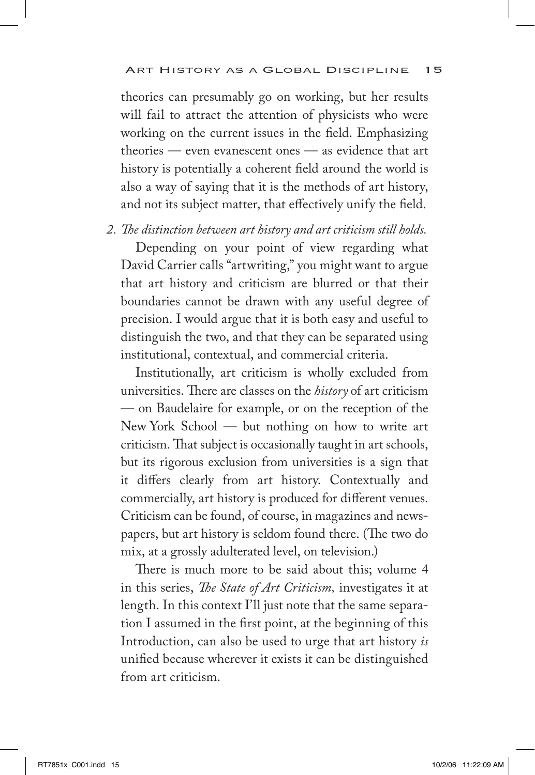#### Art History as a Global Discipline 15

theories can presumably go on working, but her results will fail to attract the attention of physicists who were working on the current issues in the field. Emphasizing theories — even evanescent ones — as evidence that art history is potentially a coherent field around the world is also a way of saying that it is the methods of art history, and not its subject matter, that effectively unify the field.

### *2. The distinction between art history and art criticism still holds.*

 Depending on your point of view regarding what David Carrier calls "artwriting," you might want to argue that art history and criticism are blurred or that their boundaries cannot be drawn with any useful degree of precision. I would argue that it is both easy and useful to distinguish the two, and that they can be separated using institutional, contextual, and commercial criteria.

 Institutionally, art criticism is wholly excluded from universities. There are classes on the *history* of art criticism — on Baudelaire for example, or on the reception of the New York School — but nothing on how to write art criticism. That subject is occasionally taught in art schools, but its rigorous exclusion from universities is a sign that it differs clearly from art history. Contextually and commercially, art history is produced for different venues. Criticism can be found, of course, in magazines and newspapers, but art history is seldom found there. (The two do mix, at a grossly adulterated level, on television.)

 There is much more to be said about this; volume 4 in this series, *The State of Art Criticism,* investigates it at length. In this context I'll just note that the same separation I assumed in the first point, at the beginning of this Introduction, can also be used to urge that art history *is* unified because wherever it exists it can be distinguished from art criticism.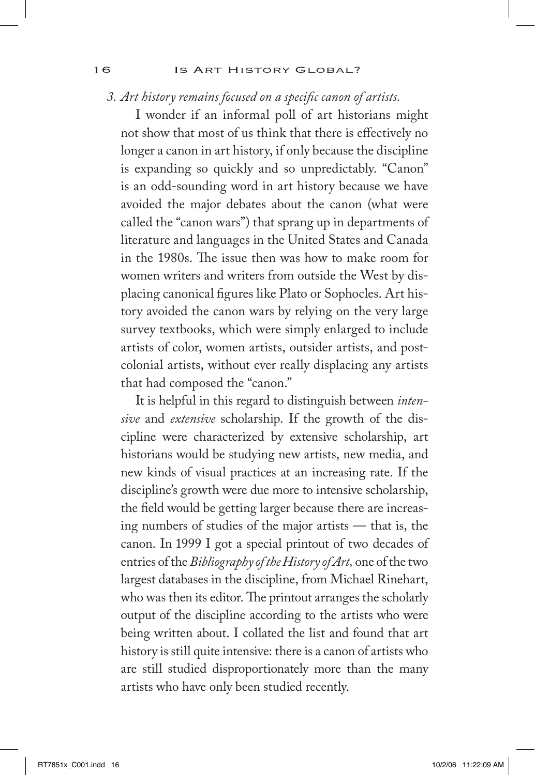*3. Art history remains focused on a specific canon of artists.*

 I wonder if an informal poll of art historians might not show that most of us think that there is effectively no longer a canon in art history, if only because the discipline is expanding so quickly and so unpredictably. "Canon" is an odd-sounding word in art history because we have avoided the major debates about the canon (what were called the "canon wars") that sprang up in departments of literature and languages in the United States and Canada in the 1980s. The issue then was how to make room for women writers and writers from outside the West by displacing canonical figures like Plato or Sophocles. Art history avoided the canon wars by relying on the very large survey textbooks, which were simply enlarged to include artists of color, women artists, outsider artists, and postcolonial artists, without ever really displacing any artists that had composed the "canon."

 It is helpful in this regard to distinguish between *intensive* and *extensive* scholarship. If the growth of the discipline were characterized by extensive scholarship, art historians would be studying new artists, new media, and new kinds of visual practices at an increasing rate. If the discipline's growth were due more to intensive scholarship, the field would be getting larger because there are increasing numbers of studies of the major artists — that is, the canon. In 1999 I got a special printout of two decades of entries of the *Bibliography of the History of Art,* one of the two largest databases in the discipline, from Michael Rinehart, who was then its editor. The printout arranges the scholarly output of the discipline according to the artists who were being written about. I collated the list and found that art history is still quite intensive: there is a canon of artists who are still studied disproportionately more than the many artists who have only been studied recently.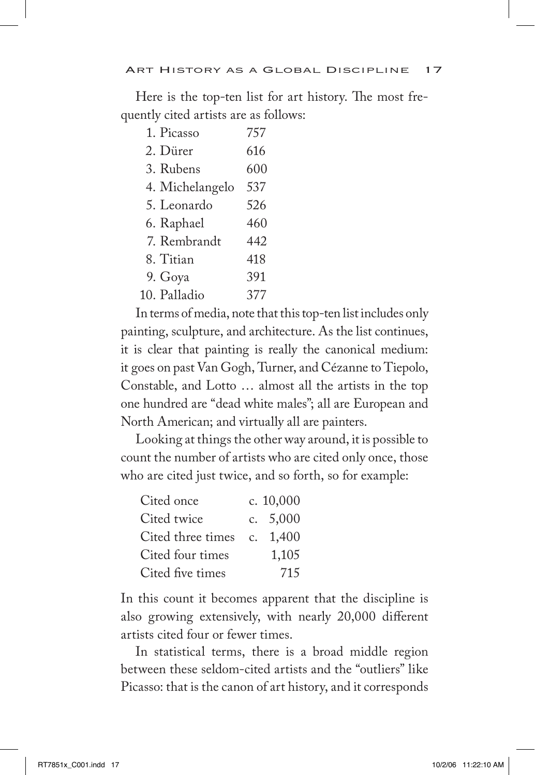Here is the top-ten list for art history. The most frequently cited artists are as follows:

| 1. Picasso      | 757 |
|-----------------|-----|
| 2. Dürer        | 616 |
| 3. Rubens       | 600 |
| 4. Michelangelo | 537 |
| 5. Leonardo     | 526 |
| 6. Raphael      | 460 |
| 7. Rembrandt    | 442 |
| 8. Titian       | 418 |
| 9. Goya         | 391 |
| 10. Palladio    | 377 |
|                 |     |

 In terms of media, note that this top-ten list includes only painting, sculpture, and architecture. As the list continues, it is clear that painting is really the canonical medium: it goes on past Van Gogh, Turner, and Cézanne to Tiepolo, Constable, and Lotto … almost all the artists in the top one hundred are "dead white males"; all are European and North American; and virtually all are painters.

 Looking at things the other way around, it is possible to count the number of artists who are cited only once, those who are cited just twice, and so forth, so for example:

| Cited once        |             | c. 10,000  |
|-------------------|-------------|------------|
| Cited twice       |             | c. $5,000$ |
| Cited three times | $c_{\cdot}$ | 1,400      |
| Cited four times  |             | 1,105      |
| Cited five times  |             | 715        |
|                   |             |            |

In this count it becomes apparent that the discipline is also growing extensively, with nearly 20,000 different artists cited four or fewer times.

 In statistical terms, there is a broad middle region between these seldom-cited artists and the "outliers" like Picasso: that is the canon of art history, and it corresponds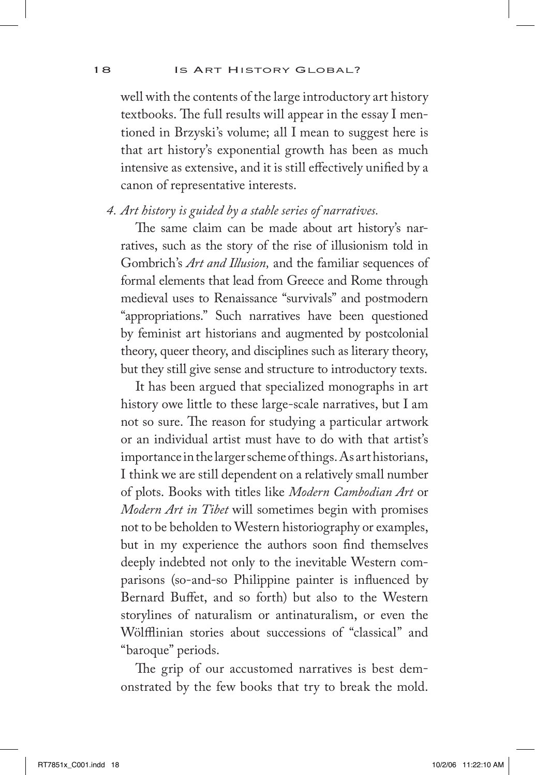well with the contents of the large introductory art historytextbooks. The full results will appear in the essay I mentioned in Brzyski's volume; all I mean to suggest here is that art history's exponential growth has been as much intensive as extensive, and it is still effectively unified by a canon of representative interests.

## *4. Art history is guided by a stable series of narratives.*

 The same claim can be made about art history's narratives, such as the story of the rise of illusionism told in Gombrich's *Art and Illusion,* and the familiar sequences of formal elements that lead from Greece and Rome through medieval uses to Renaissance "survivals" and postmodern "appropriations." Such narratives have been questioned by feminist art historians and augmented by postcolonial theory, queer theory, and disciplines such as literary theory, but they still give sense and structure to introductory texts.

 It has been argued that specialized monographs in art history owe little to these large-scale narratives, but I am not so sure. The reason for studying a particular artwork or an individual artist must have to do with that artist's importance in the larger scheme of things. As arthistorians, I think we are still dependent on a relatively small number of plots. Books with titles like *Modern Cambodian Art* or *Modern Art in Tibet* will sometimes begin with promises not to be beholden to Western historiography or examples, but in my experience the authors soon find themselves deeply indebted not only to the inevitable Western comparisons (so-and-so Philippine painter is influenced by Bernard Buffet, and so forth) but also to the Western storylines of naturalism or antinaturalism, or even the Wölfflinian stories about successions of "classical" and "baroque" periods.

 The grip of our accustomed narratives is best demonstrated by the few books that try to break the mold.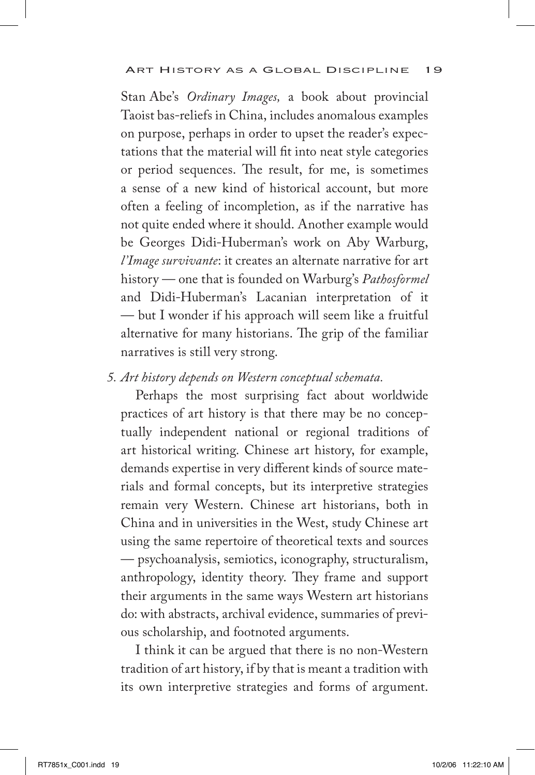#### Art History as a Global Discipline 19

Stan Abe's *Ordinary Images,* a book about provincial Taoist bas-reliefs in China, includes anomalous examples on purpose, perhaps in order to upset the reader's expectations that the material will fit into neat style categories or period sequences. The result, for me, is sometimes a sense of a new kind of historical account, but more often a feeling of incompletion, as if the narrative has not quite ended where it should. Another example would be Georges Didi-Huberman's work on Aby Warburg, *l'Image survivante*: it creates an alternate narrative for art history — one that is founded on Warburg's *Pathosformel*and Didi-Huberman's Lacanian interpretation of it — but I wonder if his approach will seem like a fruitful alternative for many historians. The grip of the familiar narratives is still very strong.

*5. Art history depends on Western conceptual schemata.*

 Perhaps the most surprising fact about worldwide practices of art history is that there may be no conceptually independent national or regional traditions of art historical writing. Chinese art history, for example, demands expertise in very different kinds of source materials and formal concepts, but its interpretive strategies remain very Western. Chinese art historians, both in China and in universities in the West, study Chinese art using the same repertoire of theoretical texts and sources — psychoanalysis, semiotics, iconography, structuralism, anthropology, identity theory. They frame and support their arguments in the same ways Western art historians do: with abstracts, archival evidence, summaries of previous scholarship, and footnoted arguments.

 I think it can be argued that there is no non-Western tradition of art history, if by that is meant a tradition with its own interpretive strategies and forms of argument.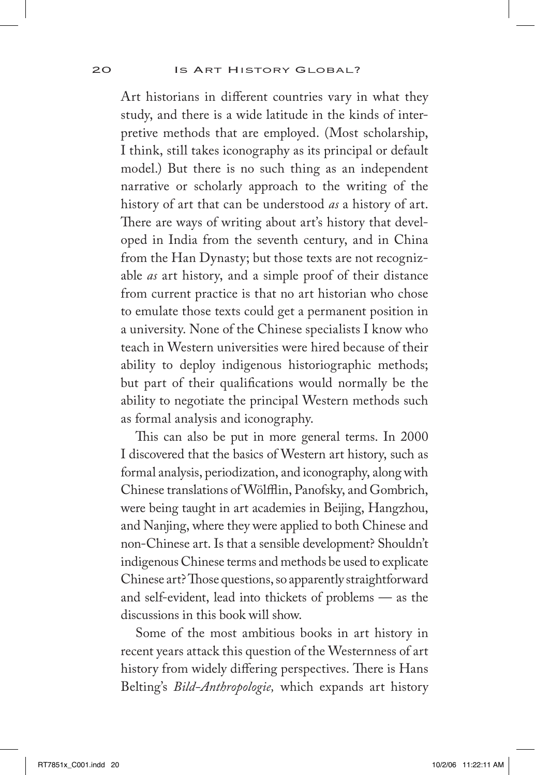Art historians in different countries vary in what they study, and there is a wide latitude in the kinds of interpretive methods that are employed. (Most scholarship, I think, still takes iconography as its principal or default model.) But there is no such thing as an independent narrative or scholarly approach to the writing of the history of art that can be understood *as* a history of art. There are ways of writing about art's history that developed in India from the seventh century, and in China from the Han Dynasty; but those texts are not recognizable *as* art history, and a simple proof of their distance from current practice is that no art historian who chose to emulate those texts could get a permanent position in a university. None of the Chinese specialists I know who teach in Western universities were hired because of their ability to deploy indigenous historiographic methods; but part of their qualifications would normally be the ability to negotiate the principal Western methods such as formal analysis and iconography.

 This can also be put in more general terms. In 2000 I discovered that the basics of Western art history, such as formal analysis, periodization, and iconography, along with Chinese translations of Wölfflin, Panofsky, and Gombrich, were being taught in art academies in Beijing, Hangzhou, and Nanjing, where they were applied to both Chinese and non-Chinese art. Is that a sensible development? Shouldn't indigenous Chinese terms and methods be used to explicate Chinese art? Those questions, so apparently straightforward and self-evident, lead into thickets of problems — as the discussions in this book will show.

 Some of the most ambitious books in art history in recent years attack this question of the Westernness of art history from widely differing perspectives. There is Hans Belting's *Bild-Anthropologie,* which expands art history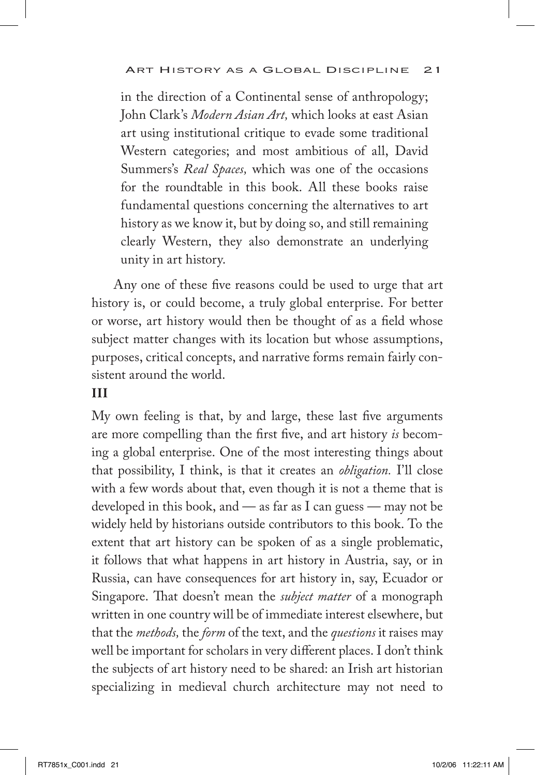#### Art History as a Global Discipline 21

in the direction of a Continental sense of anthropology; John Clark's *Modern Asian Art,* which looks at east Asian art using institutional critique to evade some traditional Western categories; and most ambitious of all, David Summers's *Real Spaces,* which was one of the occasions for the roundtable in this book. All these books raise fundamental questions concerning the alternatives to art history as we know it, but by doing so, and still remaining clearly Western, they also demonstrate an underlying unity in art history.

Any one of these five reasons could be used to urge that art history is, or could become, a truly global enterprise. For better or worse, art history would then be thought of as a field whose subject matter changes with its location but whose assumptions, purposes, critical concepts, and narrative forms remain fairly consistent around the world.

# **III**

My own feeling is that, by and large, these last five arguments are more compelling than the first five, and art history *is* becoming a global enterprise. One of the most interesting things about that possibility, I think, is that it creates an *obligation.* I'll close with a few words about that, even though it is not a theme that is developed in this book, and — as far as I can guess — may not be widely held by historians outside contributors to this book. To the extent that art history can be spoken of as a single problematic, it follows that what happens in art history in Austria, say, or in Russia, can have consequences for art history in, say, Ecuador or Singapore. That doesn't mean the *subject matter* of a monograph written in one country will be of immediate interest elsewhere, but that the *methods,* the *form* of the text, and the *questions* it raises may well be important for scholars in very different places. I don't think the subjects of art history need to be shared: an Irish art historian specializing in medieval church architecture may not need to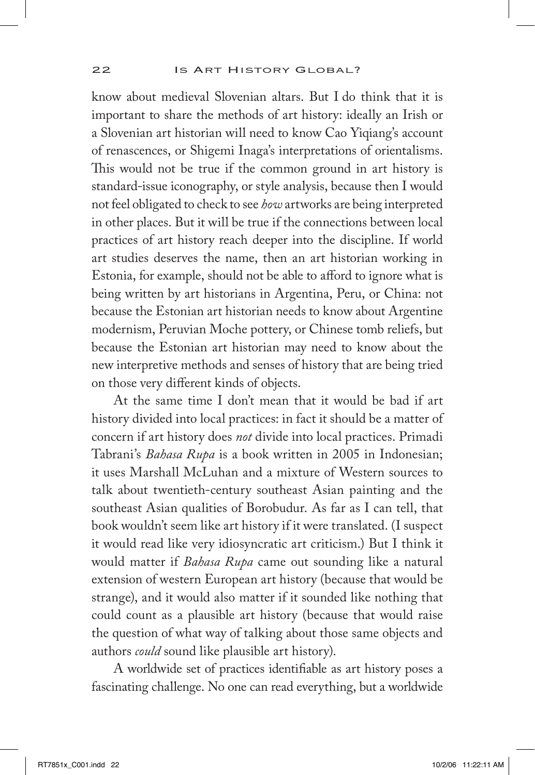know about medieval Slovenian altars. But I do think that it is important to share the methods of art history: ideally an Irish or a Slovenian art historian will need to know Cao Yiqiang's account of renascences, or Shigemi Inaga's interpretations of orientalisms. This would not be true if the common ground in art history is standard-issue iconography, or style analysis, because then I would not feel obligated to check to see *how* artworks are being interpreted in other places. But it will be true if the connections between local practices of art history reach deeper into the discipline. If world art studies deserves the name, then an art historian working in Estonia, for example, should not be able to afford to ignore what is being written by art historians in Argentina, Peru, or China: not because the Estonian art historian needs to know about Argentine modernism, Peruvian Moche pottery, or Chinese tomb reliefs, but because the Estonian art historian may need to know about the new interpretive methods and senses of history that are being tried on those very different kinds of objects.

At the same time I don't mean that it would be bad if art history divided into local practices: in fact it should be a matter of concern if art history does *not* divide into local practices. Primadi Tabrani's *Bahasa Rupa* is a book written in 2005 in Indonesian; it uses Marshall McLuhan and a mixture of Western sources to talk about twentieth-century southeast Asian painting and the southeast Asian qualities of Borobudur. As far as I can tell, that book wouldn't seem like art history if it were translated. (I suspect it would read like very idiosyncratic art criticism.) But I think it would matter if *Bahasa Rupa* came out sounding like a natural extension of western European art history (because that would be strange), and it would also matter if it sounded like nothing that could count as a plausible art history (because that would raise the question of what way of talking about those same objects and authors *could* sound like plausible art history).

A worldwide set of practices identifiable as art history poses a fascinating challenge. No one can read everything, but a worldwide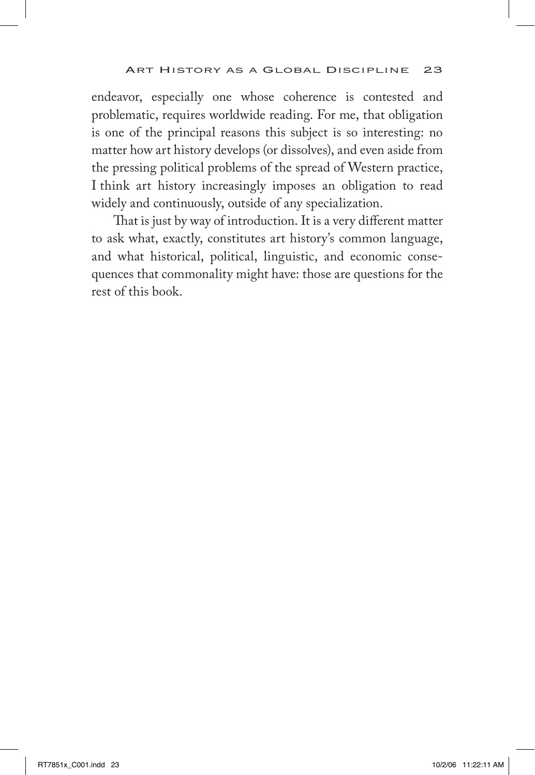endeavor, especially one whose coherence is contested and problematic, requires worldwide reading. For me, that obligation is one of the principal reasons this subject is so interesting: no matter how art history develops (or dissolves), and even aside from the pressing political problems of the spread of Western practice, I think art history increasingly imposes an obligation to read widely and continuously, outside of any specialization.

That is just by way of introduction. It is a very different matter to ask what, exactly, constitutes art history's common language, and what historical, political, linguistic, and economic consequences that commonality might have: those are questions for the rest of this book.